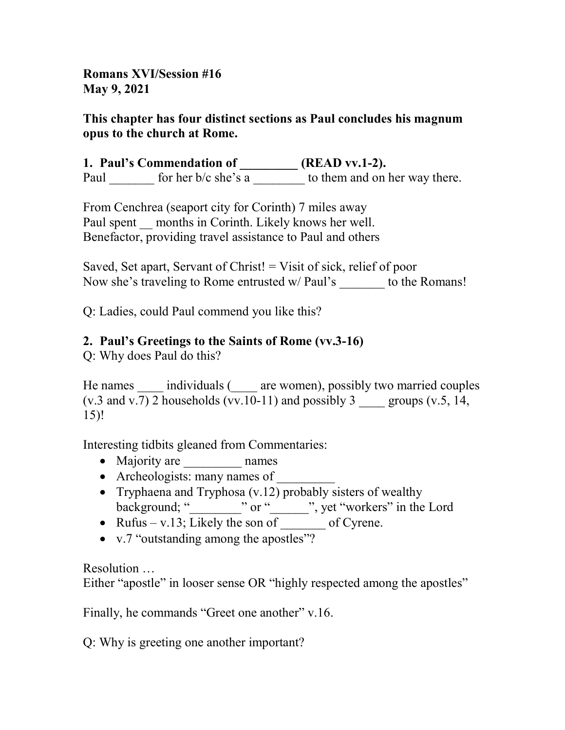Romans XVI/Session #16 May 9, 2021

### This chapter has four distinct sections as Paul concludes his magnum opus to the church at Rome.

1. Paul's Commendation of \_\_\_\_\_\_\_\_\_ (READ vv.1-2). Paul for her b/c she's a to them and on her way there.

From Cenchrea (seaport city for Corinth) 7 miles away Paul spent months in Corinth. Likely knows her well. Benefactor, providing travel assistance to Paul and others

Saved, Set apart, Servant of Christ! = Visit of sick, relief of poor Now she's traveling to Rome entrusted w/ Paul's to the Romans!

Q: Ladies, could Paul commend you like this?

# 2. Paul's Greetings to the Saints of Rome (vv.3-16)

Q: Why does Paul do this?

He names individuals ( \_\_\_\_ are women), possibly two married couples (v.3 and v.7) 2 households (vv.10-11) and possibly 3 \_\_\_\_\_ groups (v.5, 14, 15)!

Interesting tidbits gleaned from Commentaries:

- Majority are mames
- Archeologists: many names of
- Tryphaena and Tryphosa  $(v.12)$  probably sisters of wealthy background; " \_\_\_\_\_\_\_" or " \_\_\_\_\_\_", yet "workers" in the Lord
- Rufus v.13; Likely the son of  $\qquad$  of Cyrene.
- v.7 "outstanding among the apostles"?

Resolution …

Either "apostle" in looser sense OR "highly respected among the apostles"

Finally, he commands "Greet one another" v.16.

Q: Why is greeting one another important?